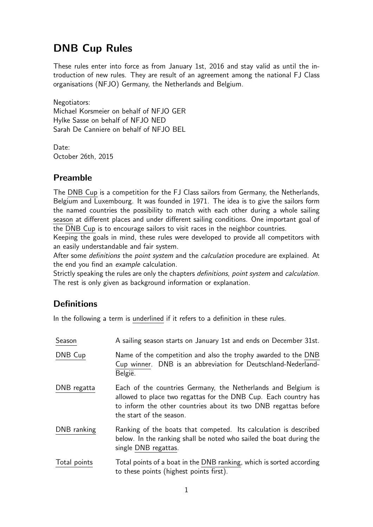# DNB Cup Rules

These rules enter into force as from January 1st, 2016 and stay valid as until the introduction of new rules. They are result of an agreement among the national FJ Class organisations (NFJO) Germany, the Netherlands and Belgium.

Negotiators: Michael Korsmeier on behalf of NFJO GER Hylke Sasse on behalf of NFJO NED Sarah De Canniere on behalf of NFJO BEL

Date: October 26th, 2015

## Preamble

The DNB Cup is a competition for the FJ Class sailors from Germany, the Netherlands, Belgium and Luxembourg. It was founded in 1971. The idea is to give the sailors form the named countries the possibility to match with each other during a whole sailing season at different places and under different sailing conditions. One important goal of the DNB Cup is to encourage sailors to visit races in the neighbor countries.

Keeping the goals in mind, these rules were developed to provide all competitors with an easily understandable and fair system.

After some definitions the point system and the calculation procedure are explained. At the end you find an example calculation.

Strictly speaking the rules are only the chapters definitions, point system and calculation. The rest is only given as background information or explanation.

# **Definitions**

In the following a term is underlined if it refers to a definition in these rules.

| Season       | A sailing season starts on January 1st and ends on December 31st.                                                                                                                                                               |
|--------------|---------------------------------------------------------------------------------------------------------------------------------------------------------------------------------------------------------------------------------|
| DNB Cup      | Name of the competition and also the trophy awarded to the DNB<br>Cup winner. DNB is an abbreviation for Deutschland-Nederland-<br>België.                                                                                      |
| DNB regatta  | Each of the countries Germany, the Netherlands and Belgium is<br>allowed to place two regattas for the DNB Cup. Each country has<br>to inform the other countries about its two DNB regattas before<br>the start of the season. |
| DNB ranking  | Ranking of the boats that competed. Its calculation is described<br>below. In the ranking shall be noted who sailed the boat during the<br>single DNB regattas.                                                                 |
| Total points | Total points of a boat in the DNB ranking, which is sorted according<br>to these points (highest points first).                                                                                                                 |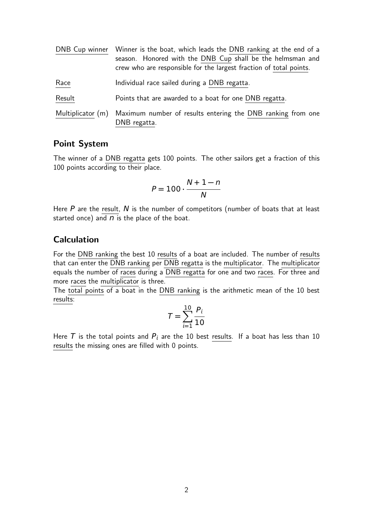|                   | DNB Cup winner Winner is the boat, which leads the DNB ranking at the end of a<br>season. Honored with the DNB Cup shall be the helmsman and<br>crew who are responsible for the largest fraction of total points. |
|-------------------|--------------------------------------------------------------------------------------------------------------------------------------------------------------------------------------------------------------------|
| Race              | Individual race sailed during a DNB regatta.                                                                                                                                                                       |
| Result            | Points that are awarded to a boat for one DNB regatta.                                                                                                                                                             |
| Multiplicator (m) | Maximum number of results entering the DNB ranking from one<br>DNB regatta.                                                                                                                                        |

### Point System

The winner of a DNB regatta gets 100 points. The other sailors get a fraction of this 100 points according to their place.

$$
P = 100 \cdot \frac{N+1-n}{N}
$$

Here  $P$  are the result,  $N$  is the number of competitors (number of boats that at least started once) and  $n$  is the place of the boat.

#### Calculation

For the DNB ranking the best 10 results of a boat are included. The number of results that can enter the DNB ranking per DNB regatta is the multiplicator. The multiplicator equals the number of races during a DNB regatta for one and two races. For three and more races the multiplicator is three.

The total points of a boat in the DNB ranking is the arithmetic mean of the 10 best results:

$$
T = \sum_{i=1}^{10} \frac{P_i}{10}
$$

Here T is the total points and  $P_i$  are the 10 best results. If a boat has less than 10 results the missing ones are filled with 0 points.